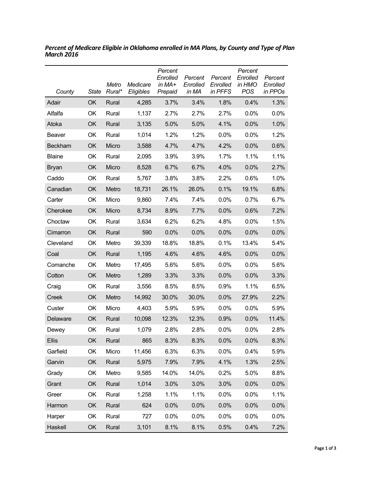| County        | State     | Metro<br>Rural* | Medicare<br>Eligibles | Percent<br>Enrolled<br>in $MA+$<br>Prepaid | Percent<br>Enrolled<br>in MA | Percent<br>Enrolled<br>in PFFS | Percent<br>Enrolled<br>in HMO<br>POS | Percent<br>Enrolled<br>in PPOs |
|---------------|-----------|-----------------|-----------------------|--------------------------------------------|------------------------------|--------------------------------|--------------------------------------|--------------------------------|
| Adair         | <b>OK</b> | Rural           | 4,285                 | 3.7%                                       | 3.4%                         | 1.8%                           | 0.4%                                 | 1.3%                           |
| Alfalfa       | OK        | Rural           | 1,137                 | 2.7%                                       | 2.7%                         | 2.7%                           | $0.0\%$                              | $0.0\%$                        |
| Atoka         | OK        | Rural           | 3,135                 | 5.0%                                       | 5.0%                         | 4.1%                           | 0.0%                                 | 1.0%                           |
| <b>Beaver</b> | OK        | Rural           | 1,014                 | 1.2%                                       | 1.2%                         | 0.0%                           | 0.0%                                 | 1.2%                           |
| Beckham       | OK        | Micro           | 3,588                 | 4.7%                                       | 4.7%                         | 4.2%                           | 0.0%                                 | 0.6%                           |
| <b>Blaine</b> | OK        | Rural           | 2,095                 | 3.9%                                       | 3.9%                         | 1.7%                           | 1.1%                                 | 1.1%                           |
| <b>Bryan</b>  | OK        | Micro           | 8,528                 | 6.7%                                       | 6.7%                         | 4.0%                           | 0.0%                                 | 2.7%                           |
| Caddo         | OK        | Rural           | 5,767                 | 3.8%                                       | 3.8%                         | 2.2%                           | 0.6%                                 | 1.0%                           |
| Canadian      | <b>OK</b> | Metro           | 18,731                | 26.1%                                      | 26.0%                        | 0.1%                           | 19.1%                                | 6.8%                           |
| Carter        | OK        | Micro           | 9,860                 | 7.4%                                       | 7.4%                         | 0.0%                           | 0.7%                                 | 6.7%                           |
| Cherokee      | <b>OK</b> | Micro           | 8,734                 | 8.9%                                       | 7.7%                         | 0.0%                           | 0.6%                                 | 7.2%                           |
| Choctaw       | OK        | Rural           | 3,634                 | 6.2%                                       | 6.2%                         | 4.8%                           | 0.0%                                 | 1.5%                           |
| Cimarron      | OK        | Rural           | 590                   | 0.0%                                       | 0.0%                         | 0.0%                           | 0.0%                                 | 0.0%                           |
| Cleveland     | OK        | Metro           | 39,339                | 18.8%                                      | 18.8%                        | 0.1%                           | 13.4%                                | 5.4%                           |
| Coal          | OK        | Rural           | 1,195                 | 4.6%                                       | 4.6%                         | 4.6%                           | 0.0%                                 | 0.0%                           |
| Comanche      | OK        | Metro           | 17,495                | 5.6%                                       | 5.6%                         | $0.0\%$                        | $0.0\%$                              | 5.6%                           |
| Cotton        | OK        | Metro           | 1,289                 | 3.3%                                       | 3.3%                         | 0.0%                           | 0.0%                                 | 3.3%                           |
| Craig         | OK        | Rural           | 3,556                 | 8.5%                                       | 8.5%                         | 0.9%                           | 1.1%                                 | 6.5%                           |
| Creek         | OK        | Metro           | 14,992                | 30.0%                                      | 30.0%                        | 0.0%                           | 27.9%                                | 2.2%                           |
| Custer        | OK        | Micro           | 4,403                 | 5.9%                                       | 5.9%                         | $0.0\%$                        | $0.0\%$                              | 5.9%                           |
| Delaware      | <b>OK</b> | Rural           | 10,098                | 12.3%                                      | 12.3%                        | 0.9%                           | 0.0%                                 | 11.4%                          |
| Dewey         | OK        | Rural           | 1,079                 | 2.8%                                       | 2.8%                         | 0.0%                           | $0.0\%$                              | 2.8%                           |
| <b>Ellis</b>  | <b>OK</b> | Rural           | 865                   | 8.3%                                       | 8.3%                         | 0.0%                           | 0.0%                                 | 8.3%                           |
| Garfield      | OK        | Micro           | 11,456                | 6.3%                                       | 6.3%                         | 0.0%                           | 0.4%                                 | 5.9%                           |
| Garvin        | OK        | Rural           | 5,975                 | 7.9%                                       | 7.9%                         | 4.1%                           | 1.3%                                 | 2.5%                           |
| Grady         | OK        | Metro           | 9,585                 | 14.0%                                      | 14.0%                        | 0.2%                           | 5.0%                                 | 8.8%                           |
| Grant         | OK        | Rural           | 1,014                 | 3.0%                                       | 3.0%                         | 3.0%                           | 0.0%                                 | 0.0%                           |
| Greer         | OK        | Rural           | 1,258                 | 1.1%                                       | 1.1%                         | 0.0%                           | 0.0%                                 | 1.1%                           |
| Harmon        | OK        | Rural           | 624                   | 0.0%                                       | 0.0%                         | 0.0%                           | 0.0%                                 | 0.0%                           |
| Harper        | OK        | Rural           | 727                   | 0.0%                                       | 0.0%                         | 0.0%                           | 0.0%                                 | 0.0%                           |
| Haskell       | OK        | Rural           | 3,101                 | 8.1%                                       | 8.1%                         | 0.5%                           | 0.4%                                 | 7.2%                           |

*Percent of Medicare Eligible in Oklahoma enrolled in MA Plans, by County and Type of Plan March 2016*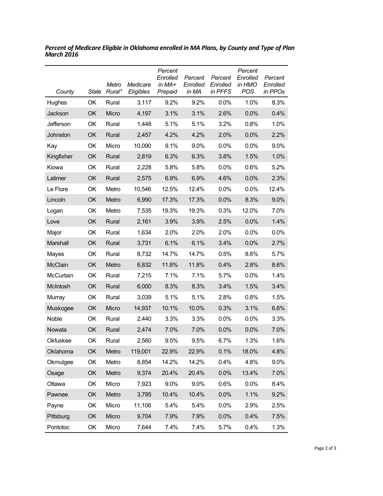| County         | State | Metro<br>Rural* | Medicare<br>Eligibles | Percent<br>Enrolled<br>in MA+<br>Prepaid | Percent<br>Enrolled<br>in MA | Percent<br>Enrolled<br>in PFFS | Percent<br>Enrolled<br>in HMO<br>POS | Percent<br>Enrolled<br>in PPOs |
|----------------|-------|-----------------|-----------------------|------------------------------------------|------------------------------|--------------------------------|--------------------------------------|--------------------------------|
| Hughes         | OK    | Rural           | 3,117                 | 9.2%                                     | 9.2%                         | $0.0\%$                        | 1.0%                                 | 8.3%                           |
| Jackson        | OK    | Micro           | 4,197                 | 3.1%                                     | 3.1%                         | 2.6%                           | 0.0%                                 | 0.4%                           |
| Jefferson      | OK    | Rural           | 1,448                 | 5.1%                                     | 5.1%                         | 3.2%                           | 0.8%                                 | 1.0%                           |
| Johnston       | OK    | Rural           | 2,457                 | 4.2%                                     | 4.2%                         | 2.0%                           | 0.0%                                 | 2.2%                           |
| Kay            | OK    | Micro           | 10,090                | 9.1%                                     | 9.0%                         | 0.0%                           | 0.0%                                 | 9.0%                           |
| Kingfisher     | OK    | Rural           | 2,819                 | 6.3%                                     | 6.3%                         | 3.8%                           | 1.5%                                 | 1.0%                           |
| Kiowa          | OK    | Rural           | 2,228                 | 5.8%                                     | 5.8%                         | $0.0\%$                        | 0.6%                                 | 5.2%                           |
| Latimer        | OK    | Rural           | 2,575                 | 6.9%                                     | 6.9%                         | 4.6%                           | 0.0%                                 | 2.3%                           |
| Le Flore       | OK    | Metro           | 10,546                | 12.5%                                    | 12.4%                        | $0.0\%$                        | 0.0%                                 | 12.4%                          |
| Lincoln        | OK    | Metro           | 6,990                 | 17.3%                                    | 17.3%                        | 0.0%                           | 8.3%                                 | 9.0%                           |
| Logan          | OK    | Metro           | 7,535                 | 19.3%                                    | 19.3%                        | 0.3%                           | 12.0%                                | 7.0%                           |
| Love           | OK    | Rural           | 2,161                 | 3.9%                                     | 3.9%                         | 2.5%                           | 0.0%                                 | 1.4%                           |
| Major          | OK    | Rural           | 1,634                 | 2.0%                                     | 2.0%                         | 2.0%                           | 0.0%                                 | 0.0%                           |
| Marshall       | OK    | Rural           | 3,731                 | 6.1%                                     | 6.1%                         | 3.4%                           | 0.0%                                 | 2.7%                           |
| Mayes          | OK    | Rural           | 8,732                 | 14.7%                                    | 14.7%                        | 0.5%                           | 8.6%                                 | 5.7%                           |
| <b>McClain</b> | OK    | Metro           | 6,832                 | 11.8%                                    | 11.8%                        | 0.4%                           | 2.8%                                 | 8.6%                           |
| McCurtain      | OK    | Rural           | 7,215                 | 7.1%                                     | 7.1%                         | 5.7%                           | 0.0%                                 | 1.4%                           |
| McIntosh       | OK    | Rural           | 6,000                 | 8.3%                                     | 8.3%                         | 3.4%                           | 1.5%                                 | 3.4%                           |
| Murray         | OK    | Rural           | 3,039                 | 5.1%                                     | 5.1%                         | 2.8%                           | 0.8%                                 | 1.5%                           |
| Muskogee       | OK    | Micro           | 14,937                | 10.1%                                    | 10.0%                        | 0.3%                           | 3.1%                                 | 6.6%                           |
| Noble          | OK    | Rural           | 2,440                 | 3.3%                                     | 3.3%                         | 0.0%                           | 0.0%                                 | 3.3%                           |
| Nowata         | OK    | Rural           | 2,474                 | 7.0%                                     | 7.0%                         | 0.0%                           | 0.0%                                 | 7.0%                           |
| Okfuskee       | OK    | Rural           | 2,560                 | 9.5%                                     | 9.5%                         | 6.7%                           | 1.3%                                 | 1.6%                           |
| Oklahoma       | OK    | Metro           | 119,001               | 22.9%                                    | 22.9%                        | 0.1%                           | 18.0%                                | 4.8%                           |
| Okmulgee       | OK    | Metro           | 8,854                 | 14.2%                                    | 14.2%                        | 0.4%                           | 4.8%                                 | 9.0%                           |
| Osage          | OK    | Metro           | 9,374                 | 20.4%                                    | 20.4%                        | 0.0%                           | 13.4%                                | 7.0%                           |
| Ottawa         | OK    | Micro           | 7,923                 | 9.0%                                     | 9.0%                         | 0.6%                           | 0.0%                                 | 8.4%                           |
| Pawnee         | OK    | Metro           | 3,795                 | 10.4%                                    | 10.4%                        | 0.0%                           | 1.1%                                 | 9.2%                           |
| Payne          | OK    | Micro           | 11,106                | 5.4%                                     | 5.4%                         | 0.0%                           | 2.9%                                 | 2.5%                           |
| Pittsburg      | OK    | Micro           | 9,704                 | 7.9%                                     | 7.9%                         | 0.0%                           | 0.4%                                 | 7.5%                           |
| Pontotoc       | OK    | Micro           | 7,644                 | 7.4%                                     | 7.4%                         | 5.7%                           | 0.4%                                 | 1.3%                           |

*Percent of Medicare Eligible in Oklahoma enrolled in MA Plans, by County and Type of Plan March 2016*